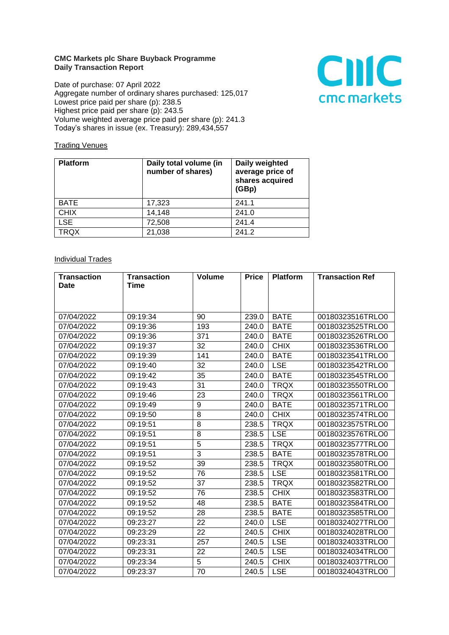## **CMC Markets plc Share Buyback Programme Daily Transaction Report**

Date of purchase: 07 April 2022 Aggregate number of ordinary shares purchased: 125,017 Lowest price paid per share (p): 238.5 Highest price paid per share (p): 243.5 Volume weighted average price paid per share (p): 241.3 Today's shares in issue (ex. Treasury): 289,434,557



## **Trading Venues**

| <b>Platform</b> | Daily total volume (in<br>number of shares) | Daily weighted<br>average price of<br>shares acquired<br>(GBp) |
|-----------------|---------------------------------------------|----------------------------------------------------------------|
| <b>BATE</b>     | 17,323                                      | 241.1                                                          |
| <b>CHIX</b>     | 14,148                                      | 241.0                                                          |
| <b>LSE</b>      | 72,508                                      | 241.4                                                          |
| TRQX            | 21,038                                      | 241.2                                                          |

## **Individual Trades**

| <b>Transaction</b> | <b>Transaction</b> | <b>Volume</b> | <b>Price</b> | <b>Platform</b> | <b>Transaction Ref</b> |
|--------------------|--------------------|---------------|--------------|-----------------|------------------------|
| <b>Date</b>        | Time               |               |              |                 |                        |
|                    |                    |               |              |                 |                        |
|                    |                    |               |              |                 |                        |
| 07/04/2022         | 09:19:34           | 90            | 239.0        | <b>BATE</b>     | 00180323516TRLO0       |
| 07/04/2022         | 09:19:36           | 193           | 240.0        | <b>BATE</b>     | 00180323525TRLO0       |
| 07/04/2022         | 09:19:36           | 371           | 240.0        | <b>BATE</b>     | 00180323526TRLO0       |
| 07/04/2022         | 09:19:37           | 32            | 240.0        | <b>CHIX</b>     | 00180323536TRLO0       |
| 07/04/2022         | 09:19:39           | 141           | 240.0        | <b>BATE</b>     | 00180323541TRLO0       |
| 07/04/2022         | 09:19:40           | 32            | 240.0        | <b>LSE</b>      | 00180323542TRLO0       |
| 07/04/2022         | 09:19:42           | 35            | 240.0        | <b>BATE</b>     | 00180323545TRLO0       |
| 07/04/2022         | 09:19:43           | 31            | 240.0        | <b>TRQX</b>     | 00180323550TRLO0       |
| 07/04/2022         | 09:19:46           | 23            | 240.0        | <b>TRQX</b>     | 00180323561TRLO0       |
| 07/04/2022         | 09:19:49           | 9             | 240.0        | <b>BATE</b>     | 00180323571TRLO0       |
| 07/04/2022         | 09:19:50           | 8             | 240.0        | <b>CHIX</b>     | 00180323574TRLO0       |
| 07/04/2022         | 09:19:51           | 8             | 238.5        | <b>TRQX</b>     | 00180323575TRLO0       |
| 07/04/2022         | 09:19:51           | 8             | 238.5        | <b>LSE</b>      | 00180323576TRLO0       |
| 07/04/2022         | 09:19:51           | 5             | 238.5        | <b>TRQX</b>     | 00180323577TRLO0       |
| 07/04/2022         | 09:19:51           | 3             | 238.5        | <b>BATE</b>     | 00180323578TRLO0       |
| 07/04/2022         | 09:19:52           | 39            | 238.5        | <b>TRQX</b>     | 00180323580TRLO0       |
| 07/04/2022         | 09:19:52           | 76            | 238.5        | <b>LSE</b>      | 00180323581TRLO0       |
| 07/04/2022         | 09:19:52           | 37            | 238.5        | <b>TRQX</b>     | 00180323582TRLO0       |
| 07/04/2022         | 09:19:52           | 76            | 238.5        | <b>CHIX</b>     | 00180323583TRLO0       |
| 07/04/2022         | 09:19:52           | 48            | 238.5        | <b>BATE</b>     | 00180323584TRLO0       |
| 07/04/2022         | 09:19:52           | 28            | 238.5        | <b>BATE</b>     | 00180323585TRLO0       |
| 07/04/2022         | 09:23:27           | 22            | 240.0        | <b>LSE</b>      | 00180324027TRLO0       |
| 07/04/2022         | 09:23:29           | 22            | 240.5        | <b>CHIX</b>     | 00180324028TRLO0       |
| 07/04/2022         | 09:23:31           | 257           | 240.5        | <b>LSE</b>      | 00180324033TRLO0       |
| 07/04/2022         | 09:23:31           | 22            | 240.5        | <b>LSE</b>      | 00180324034TRLO0       |
| 07/04/2022         | 09:23:34           | 5             | 240.5        | <b>CHIX</b>     | 00180324037TRLO0       |
| 07/04/2022         | 09:23:37           | 70            | 240.5        | <b>LSE</b>      | 00180324043TRLO0       |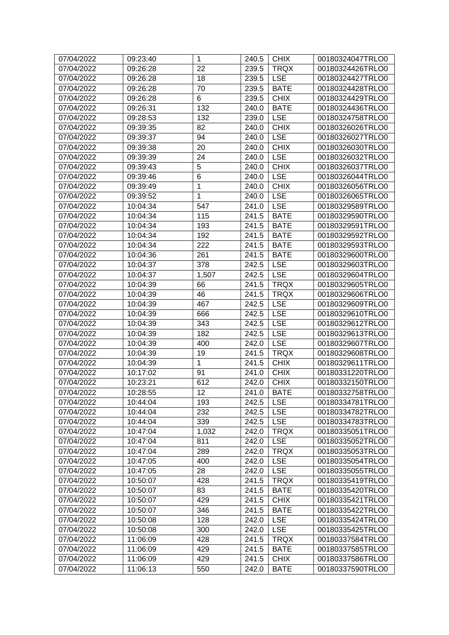| 07/04/2022 | 09:23:40 | $\mathbf{1}$ | 240.5 | <b>CHIX</b> | 00180324047TRLO0 |
|------------|----------|--------------|-------|-------------|------------------|
| 07/04/2022 | 09:26:28 | 22           | 239.5 | <b>TRQX</b> | 00180324426TRLO0 |
| 07/04/2022 | 09:26:28 | 18           | 239.5 | <b>LSE</b>  | 00180324427TRLO0 |
| 07/04/2022 | 09:26:28 | 70           | 239.5 | <b>BATE</b> | 00180324428TRLO0 |
| 07/04/2022 | 09:26:28 | 6            | 239.5 | <b>CHIX</b> | 00180324429TRLO0 |
| 07/04/2022 | 09:26:31 | 132          | 240.0 | <b>BATE</b> | 00180324436TRLO0 |
| 07/04/2022 | 09:28:53 | 132          | 239.0 | <b>LSE</b>  | 00180324758TRLO0 |
| 07/04/2022 | 09:39:35 | 82           | 240.0 | <b>CHIX</b> | 00180326026TRLO0 |
| 07/04/2022 | 09:39:37 | 94           | 240.0 | <b>LSE</b>  | 00180326027TRLO0 |
| 07/04/2022 | 09:39:38 | 20           | 240.0 | <b>CHIX</b> | 00180326030TRLO0 |
| 07/04/2022 | 09:39:39 | 24           | 240.0 | <b>LSE</b>  | 00180326032TRLO0 |
| 07/04/2022 | 09:39:43 | 5            | 240.0 | <b>CHIX</b> | 00180326037TRLO0 |
| 07/04/2022 | 09:39:46 | 6            | 240.0 | <b>LSE</b>  | 00180326044TRLO0 |
| 07/04/2022 | 09:39:49 | $\mathbf 1$  | 240.0 | <b>CHIX</b> | 00180326056TRLO0 |
| 07/04/2022 | 09:39:52 | 1            | 240.0 | <b>LSE</b>  | 00180326065TRLO0 |
| 07/04/2022 | 10:04:34 | 547          | 241.0 | <b>LSE</b>  | 00180329589TRLO0 |
| 07/04/2022 | 10:04:34 | 115          | 241.5 | <b>BATE</b> | 00180329590TRLO0 |
| 07/04/2022 | 10:04:34 | 193          | 241.5 | <b>BATE</b> | 00180329591TRLO0 |
| 07/04/2022 | 10:04:34 | 192          | 241.5 | <b>BATE</b> | 00180329592TRLO0 |
| 07/04/2022 | 10:04:34 | 222          | 241.5 | <b>BATE</b> | 00180329593TRLO0 |
| 07/04/2022 | 10:04:36 | 261          | 241.5 | <b>BATE</b> | 00180329600TRLO0 |
| 07/04/2022 | 10:04:37 | 378          | 242.5 | <b>LSE</b>  | 00180329603TRLO0 |
| 07/04/2022 | 10:04:37 | 1,507        | 242.5 | <b>LSE</b>  | 00180329604TRLO0 |
| 07/04/2022 | 10:04:39 | 66           | 241.5 | <b>TRQX</b> | 00180329605TRLO0 |
| 07/04/2022 | 10:04:39 | 46           | 241.5 | <b>TRQX</b> | 00180329606TRLO0 |
| 07/04/2022 | 10:04:39 | 467          | 242.5 | <b>LSE</b>  | 00180329609TRLO0 |
| 07/04/2022 | 10:04:39 | 666          | 242.5 | <b>LSE</b>  | 00180329610TRLO0 |
| 07/04/2022 | 10:04:39 | 343          | 242.5 | <b>LSE</b>  | 00180329612TRLO0 |
| 07/04/2022 | 10:04:39 | 182          | 242.5 | <b>LSE</b>  | 00180329613TRLO0 |
| 07/04/2022 | 10:04:39 | 400          | 242.0 | <b>LSE</b>  | 00180329607TRLO0 |
| 07/04/2022 | 10:04:39 | 19           | 241.5 | <b>TRQX</b> | 00180329608TRLO0 |
| 07/04/2022 | 10:04:39 | 1            | 241.5 | <b>CHIX</b> | 00180329611TRLO0 |
| 07/04/2022 | 10:17:02 | 91           | 241.0 | <b>CHIX</b> | 00180331220TRLO0 |
| 07/04/2022 | 10:23:21 | 612          | 242.0 | <b>CHIX</b> | 00180332150TRLO0 |
| 07/04/2022 | 10:28:55 | 12           | 241.0 | <b>BATE</b> | 00180332758TRLO0 |
| 07/04/2022 | 10:44:04 | 193          | 242.5 | <b>LSE</b>  | 00180334781TRLO0 |
| 07/04/2022 | 10:44:04 | 232          | 242.5 | <b>LSE</b>  | 00180334782TRLO0 |
| 07/04/2022 | 10:44:04 | 339          | 242.5 | <b>LSE</b>  | 00180334783TRLO0 |
| 07/04/2022 | 10:47:04 | 1,032        | 242.0 | <b>TRQX</b> | 00180335051TRLO0 |
| 07/04/2022 | 10:47:04 | 811          | 242.0 | <b>LSE</b>  | 00180335052TRLO0 |
| 07/04/2022 | 10:47:04 | 289          | 242.0 | <b>TRQX</b> | 00180335053TRLO0 |
| 07/04/2022 | 10:47:05 | 400          | 242.0 | <b>LSE</b>  | 00180335054TRLO0 |
| 07/04/2022 | 10:47:05 | 28           | 242.0 | <b>LSE</b>  | 00180335055TRLO0 |
| 07/04/2022 | 10:50:07 | 428          | 241.5 | <b>TRQX</b> | 00180335419TRLO0 |
| 07/04/2022 | 10:50:07 | 83           | 241.5 | <b>BATE</b> | 00180335420TRLO0 |
| 07/04/2022 | 10:50:07 | 429          | 241.5 | <b>CHIX</b> | 00180335421TRLO0 |
| 07/04/2022 | 10:50:07 | 346          | 241.5 | <b>BATE</b> | 00180335422TRLO0 |
| 07/04/2022 | 10:50:08 | 128          | 242.0 | <b>LSE</b>  | 00180335424TRLO0 |
| 07/04/2022 | 10:50:08 | 300          | 242.0 | <b>LSE</b>  | 00180335425TRLO0 |
| 07/04/2022 | 11:06:09 | 428          | 241.5 | <b>TRQX</b> | 00180337584TRLO0 |
| 07/04/2022 | 11:06:09 | 429          | 241.5 | <b>BATE</b> | 00180337585TRLO0 |
| 07/04/2022 | 11:06:09 | 429          | 241.5 | <b>CHIX</b> | 00180337586TRLO0 |
| 07/04/2022 | 11:06:13 | 550          | 242.0 | <b>BATE</b> | 00180337590TRLO0 |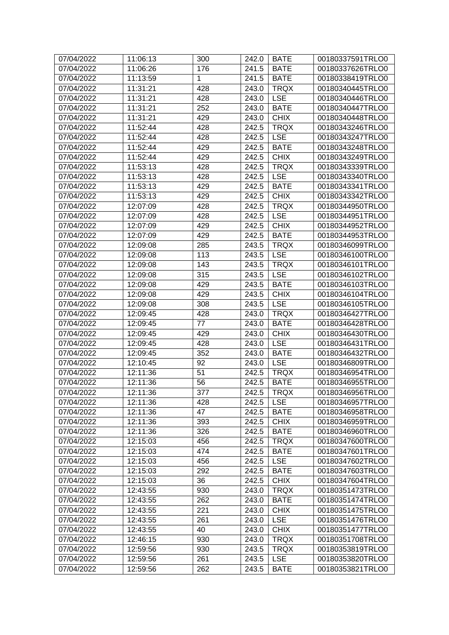| 07/04/2022<br>11:06:13<br>300<br>242.0<br><b>BATE</b> | 00180337591TRLO0 |
|-------------------------------------------------------|------------------|
| <b>BATE</b><br>07/04/2022<br>11:06:26<br>176<br>241.5 | 00180337626TRLO0 |
| 11:13:59<br>1<br><b>BATE</b><br>07/04/2022<br>241.5   | 00180338419TRLO0 |
| 428<br>11:31:21<br><b>TRQX</b><br>07/04/2022<br>243.0 | 00180340445TRLO0 |
| 11:31:21<br>428<br><b>LSE</b><br>07/04/2022<br>243.0  | 00180340446TRLO0 |
| 252<br>07/04/2022<br>11:31:21<br>243.0<br><b>BATE</b> | 00180340447TRLO0 |
| 429<br><b>CHIX</b><br>07/04/2022<br>11:31:21<br>243.0 | 00180340448TRLO0 |
| 07/04/2022<br>11:52:44<br>428<br>242.5<br><b>TRQX</b> | 00180343246TRLO0 |
| <b>LSE</b><br>07/04/2022<br>11:52:44<br>428<br>242.5  | 00180343247TRLO0 |
| 429<br><b>BATE</b><br>07/04/2022<br>11:52:44<br>242.5 | 00180343248TRLO0 |
| 07/04/2022<br>429<br><b>CHIX</b><br>11:52:44<br>242.5 | 00180343249TRLO0 |
| 428<br><b>TRQX</b><br>07/04/2022<br>11:53:13<br>242.5 | 00180343339TRLO0 |
| 428<br><b>LSE</b><br>07/04/2022<br>11:53:13<br>242.5  | 00180343340TRLO0 |
| 429<br><b>BATE</b><br>07/04/2022<br>11:53:13<br>242.5 | 00180343341TRLO0 |
| <b>CHIX</b><br>07/04/2022<br>11:53:13<br>429<br>242.5 | 00180343342TRLO0 |
| 428<br>07/04/2022<br>242.5<br><b>TRQX</b><br>12:07:09 | 00180344950TRLO0 |
| <b>LSE</b><br>07/04/2022<br>12:07:09<br>428<br>242.5  | 00180344951TRLO0 |
| 07/04/2022                                            |                  |
| 429<br><b>CHIX</b><br>12:07:09<br>242.5               | 00180344952TRLO0 |
| 429<br>07/04/2022<br>242.5<br><b>BATE</b><br>12:07:09 | 00180344953TRLO0 |
| 07/04/2022<br>285<br><b>TRQX</b><br>12:09:08<br>243.5 | 00180346099TRLO0 |
| <b>LSE</b><br>07/04/2022<br>113<br>243.5<br>12:09:08  | 00180346100TRLO0 |
| 143<br><b>TRQX</b><br>07/04/2022<br>12:09:08<br>243.5 | 00180346101TRLO0 |
| 315<br><b>LSE</b><br>07/04/2022<br>12:09:08<br>243.5  | 00180346102TRLO0 |
| 429<br><b>BATE</b><br>07/04/2022<br>12:09:08<br>243.5 | 00180346103TRLO0 |
| 429<br><b>CHIX</b><br>07/04/2022<br>12:09:08<br>243.5 | 00180346104TRLO0 |
| 07/04/2022<br><b>LSE</b><br>12:09:08<br>308<br>243.5  | 00180346105TRLO0 |
| <b>TRQX</b><br>07/04/2022<br>428<br>12:09:45<br>243.0 | 00180346427TRLO0 |
| 07/04/2022<br>77<br>243.0<br><b>BATE</b><br>12:09:45  | 00180346428TRLO0 |
| <b>CHIX</b><br>07/04/2022<br>12:09:45<br>429<br>243.0 | 00180346430TRLO0 |
| 07/04/2022<br>12:09:45<br>428<br>243.0<br><b>LSE</b>  | 00180346431TRLO0 |
| 07/04/2022<br>352<br><b>BATE</b><br>12:09:45<br>243.0 | 00180346432TRLO0 |
| 07/04/2022<br>92<br><b>LSE</b><br>12:10:45<br>243.0   | 00180346809TRLO0 |
| 51<br>07/04/2022<br>12:11:36<br>242.5<br><b>TRQX</b>  | 00180346954TRLO0 |
| 07/04/2022<br>12:11:36<br>56<br>242.5<br><b>BATE</b>  | 00180346955TRLO0 |
| 07/04/2022<br>12:11:36<br>377<br>242.5<br><b>TRQX</b> | 00180346956TRLO0 |
| <b>LSE</b><br>07/04/2022<br>12:11:36<br>428<br>242.5  | 00180346957TRLO0 |
| 47<br>07/04/2022<br>12:11:36<br>242.5<br><b>BATE</b>  | 00180346958TRLO0 |
| <b>CHIX</b><br>07/04/2022<br>12:11:36<br>393<br>242.5 | 00180346959TRLO0 |
| 242.5<br><b>BATE</b><br>07/04/2022<br>12:11:36<br>326 | 00180346960TRLO0 |
| 07/04/2022<br>12:15:03<br>456<br>242.5<br><b>TRQX</b> | 00180347600TRLO0 |
| 07/04/2022<br>474<br><b>BATE</b><br>12:15:03<br>242.5 | 00180347601TRLO0 |
| <b>LSE</b><br>07/04/2022<br>12:15:03<br>456<br>242.5  | 00180347602TRLO0 |
| 07/04/2022<br>292<br><b>BATE</b><br>12:15:03<br>242.5 | 00180347603TRLO0 |
| <b>CHIX</b><br>07/04/2022<br>12:15:03<br>36<br>242.5  | 00180347604TRLO0 |
| <b>TRQX</b><br>07/04/2022<br>12:43:55<br>930<br>243.0 | 00180351473TRLO0 |
| 262<br>07/04/2022<br>12:43:55<br>243.0<br><b>BATE</b> | 00180351474TRLO0 |
| 07/04/2022<br>12:43:55<br>221<br>243.0<br><b>CHIX</b> | 00180351475TRLO0 |
| 07/04/2022<br>261<br>243.0<br><b>LSE</b><br>12:43:55  | 00180351476TRLO0 |
| <b>CHIX</b><br>07/04/2022<br>12:43:55<br>40<br>243.0  | 00180351477TRLO0 |
| <b>TRQX</b><br>07/04/2022<br>12:46:15<br>930<br>243.0 | 00180351708TRLO0 |
| <b>TRQX</b><br>07/04/2022<br>12:59:56<br>930<br>243.5 | 00180353819TRLO0 |
| 07/04/2022<br>261<br>243.5<br><b>LSE</b><br>12:59:56  | 00180353820TRLO0 |
| 07/04/2022<br>12:59:56<br>262<br>243.5<br><b>BATE</b> | 00180353821TRLO0 |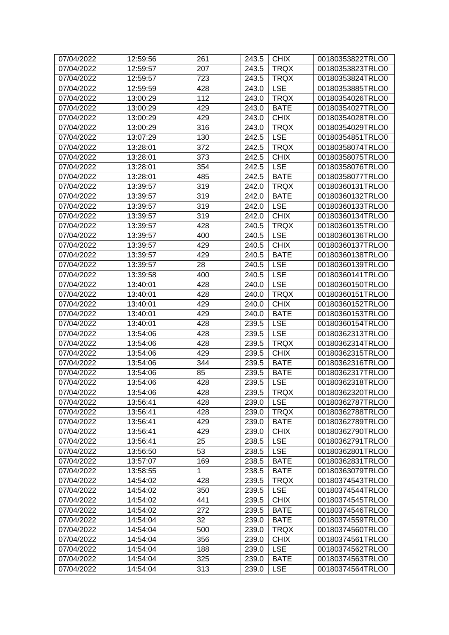| 07/04/2022 | 12:59:56 | 261 | 243.5 | <b>CHIX</b> | 00180353822TRLO0 |
|------------|----------|-----|-------|-------------|------------------|
| 07/04/2022 | 12:59:57 | 207 | 243.5 | <b>TRQX</b> | 00180353823TRLO0 |
| 07/04/2022 | 12:59:57 | 723 | 243.5 | <b>TRQX</b> | 00180353824TRLO0 |
| 07/04/2022 | 12:59:59 | 428 | 243.0 | <b>LSE</b>  | 00180353885TRLO0 |
| 07/04/2022 | 13:00:29 | 112 | 243.0 | <b>TRQX</b> | 00180354026TRLO0 |
| 07/04/2022 | 13:00:29 | 429 | 243.0 | <b>BATE</b> | 00180354027TRLO0 |
| 07/04/2022 | 13:00:29 | 429 | 243.0 | <b>CHIX</b> | 00180354028TRLO0 |
| 07/04/2022 | 13:00:29 | 316 | 243.0 | <b>TRQX</b> | 00180354029TRLO0 |
| 07/04/2022 | 13:07:29 | 130 | 242.5 | <b>LSE</b>  | 00180354851TRLO0 |
| 07/04/2022 | 13:28:01 | 372 | 242.5 | <b>TRQX</b> | 00180358074TRLO0 |
| 07/04/2022 | 13:28:01 | 373 | 242.5 | <b>CHIX</b> | 00180358075TRLO0 |
| 07/04/2022 | 13:28:01 | 354 | 242.5 | <b>LSE</b>  | 00180358076TRLO0 |
| 07/04/2022 | 13:28:01 | 485 | 242.5 | <b>BATE</b> | 00180358077TRLO0 |
| 07/04/2022 | 13:39:57 | 319 | 242.0 | <b>TRQX</b> | 00180360131TRLO0 |
| 07/04/2022 | 13:39:57 | 319 | 242.0 | <b>BATE</b> | 00180360132TRLO0 |
| 07/04/2022 | 13:39:57 | 319 | 242.0 | <b>LSE</b>  | 00180360133TRLO0 |
| 07/04/2022 | 13:39:57 | 319 | 242.0 | <b>CHIX</b> | 00180360134TRLO0 |
| 07/04/2022 | 13:39:57 | 428 | 240.5 | <b>TRQX</b> | 00180360135TRLO0 |
| 07/04/2022 | 13:39:57 | 400 | 240.5 | <b>LSE</b>  | 00180360136TRLO0 |
| 07/04/2022 | 13:39:57 | 429 | 240.5 | <b>CHIX</b> | 00180360137TRLO0 |
| 07/04/2022 | 13:39:57 | 429 | 240.5 | <b>BATE</b> | 00180360138TRLO0 |
| 07/04/2022 | 13:39:57 | 28  | 240.5 | <b>LSE</b>  | 00180360139TRLO0 |
| 07/04/2022 | 13:39:58 | 400 | 240.5 | <b>LSE</b>  | 00180360141TRLO0 |
| 07/04/2022 | 13:40:01 | 428 | 240.0 | <b>LSE</b>  | 00180360150TRLO0 |
| 07/04/2022 | 13:40:01 | 428 | 240.0 | <b>TRQX</b> | 00180360151TRLO0 |
| 07/04/2022 | 13:40:01 | 429 | 240.0 | <b>CHIX</b> | 00180360152TRLO0 |
| 07/04/2022 | 13:40:01 | 429 | 240.0 | <b>BATE</b> | 00180360153TRLO0 |
| 07/04/2022 | 13:40:01 | 428 | 239.5 | <b>LSE</b>  | 00180360154TRLO0 |
| 07/04/2022 | 13:54:06 | 428 | 239.5 | <b>LSE</b>  | 00180362313TRLO0 |
| 07/04/2022 | 13:54:06 | 428 | 239.5 | <b>TRQX</b> | 00180362314TRLO0 |
| 07/04/2022 | 13:54:06 | 429 | 239.5 | <b>CHIX</b> | 00180362315TRLO0 |
| 07/04/2022 | 13:54:06 | 344 | 239.5 | <b>BATE</b> | 00180362316TRLO0 |
| 07/04/2022 | 13:54:06 | 85  | 239.5 | <b>BATE</b> | 00180362317TRLO0 |
| 07/04/2022 | 13:54:06 | 428 | 239.5 | <b>LSE</b>  | 00180362318TRLO0 |
| 07/04/2022 | 13:54:06 | 428 | 239.5 | <b>TRQX</b> | 00180362320TRLO0 |
| 07/04/2022 | 13:56:41 | 428 | 239.0 | <b>LSE</b>  | 00180362787TRLO0 |
| 07/04/2022 | 13:56:41 | 428 | 239.0 | <b>TRQX</b> | 00180362788TRLO0 |
| 07/04/2022 | 13:56:41 | 429 | 239.0 | <b>BATE</b> | 00180362789TRLO0 |
| 07/04/2022 | 13:56:41 | 429 | 239.0 | <b>CHIX</b> | 00180362790TRLO0 |
| 07/04/2022 | 13:56:41 | 25  | 238.5 | <b>LSE</b>  | 00180362791TRLO0 |
| 07/04/2022 | 13:56:50 | 53  | 238.5 | <b>LSE</b>  | 00180362801TRLO0 |
| 07/04/2022 | 13:57:07 | 169 | 238.5 | <b>BATE</b> | 00180362831TRLO0 |
| 07/04/2022 | 13:58:55 | 1   | 238.5 | <b>BATE</b> | 00180363079TRLO0 |
| 07/04/2022 | 14:54:02 | 428 | 239.5 | <b>TRQX</b> | 00180374543TRLO0 |
| 07/04/2022 | 14:54:02 | 350 | 239.5 | <b>LSE</b>  | 00180374544TRLO0 |
| 07/04/2022 | 14:54:02 | 441 | 239.5 | <b>CHIX</b> | 00180374545TRLO0 |
| 07/04/2022 | 14:54:02 | 272 | 239.5 | <b>BATE</b> | 00180374546TRLO0 |
| 07/04/2022 | 14:54:04 | 32  | 239.0 | <b>BATE</b> | 00180374559TRLO0 |
| 07/04/2022 | 14:54:04 | 500 | 239.0 | <b>TRQX</b> | 00180374560TRLO0 |
| 07/04/2022 | 14:54:04 | 356 | 239.0 | <b>CHIX</b> | 00180374561TRLO0 |
| 07/04/2022 | 14:54:04 | 188 | 239.0 | <b>LSE</b>  | 00180374562TRLO0 |
| 07/04/2022 | 14:54:04 | 325 | 239.0 | <b>BATE</b> | 00180374563TRLO0 |
| 07/04/2022 | 14:54:04 | 313 | 239.0 | <b>LSE</b>  | 00180374564TRLO0 |
|            |          |     |       |             |                  |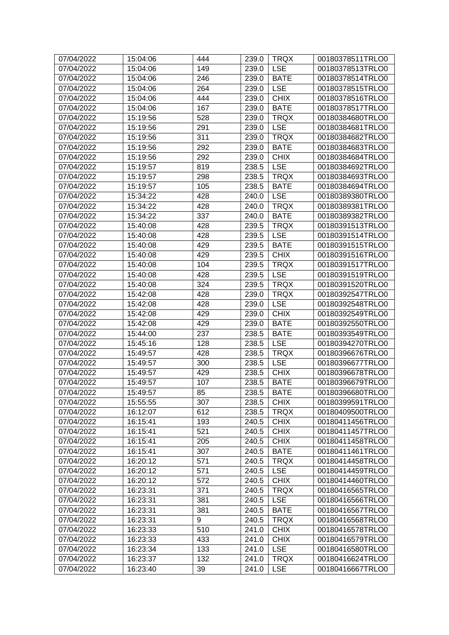| 07/04/2022 | 15:04:06 | 444 | 239.0 | <b>TRQX</b> | 00180378511TRLO0 |
|------------|----------|-----|-------|-------------|------------------|
| 07/04/2022 | 15:04:06 | 149 | 239.0 | <b>LSE</b>  | 00180378513TRLO0 |
| 07/04/2022 | 15:04:06 | 246 | 239.0 | <b>BATE</b> | 00180378514TRLO0 |
| 07/04/2022 | 15:04:06 | 264 | 239.0 | <b>LSE</b>  | 00180378515TRLO0 |
| 07/04/2022 | 15:04:06 | 444 | 239.0 | <b>CHIX</b> | 00180378516TRLO0 |
| 07/04/2022 | 15:04:06 | 167 | 239.0 | <b>BATE</b> | 00180378517TRLO0 |
| 07/04/2022 | 15:19:56 | 528 | 239.0 | <b>TRQX</b> | 00180384680TRLO0 |
| 07/04/2022 | 15:19:56 | 291 | 239.0 | <b>LSE</b>  | 00180384681TRLO0 |
| 07/04/2022 | 15:19:56 | 311 | 239.0 | <b>TRQX</b> | 00180384682TRLO0 |
| 07/04/2022 | 15:19:56 | 292 | 239.0 | <b>BATE</b> | 00180384683TRLO0 |
| 07/04/2022 | 15:19:56 | 292 | 239.0 | <b>CHIX</b> | 00180384684TRLO0 |
| 07/04/2022 | 15:19:57 | 819 | 238.5 | <b>LSE</b>  | 00180384692TRLO0 |
| 07/04/2022 | 15:19:57 | 298 | 238.5 | <b>TRQX</b> | 00180384693TRLO0 |
| 07/04/2022 | 15:19:57 | 105 | 238.5 | <b>BATE</b> | 00180384694TRLO0 |
| 07/04/2022 | 15:34:22 | 428 | 240.0 | <b>LSE</b>  | 00180389380TRLO0 |
| 07/04/2022 | 15:34:22 | 428 | 240.0 | <b>TRQX</b> | 00180389381TRLO0 |
| 07/04/2022 | 15:34:22 | 337 | 240.0 | <b>BATE</b> | 00180389382TRLO0 |
| 07/04/2022 | 15:40:08 | 428 | 239.5 | <b>TRQX</b> | 00180391513TRLO0 |
| 07/04/2022 | 15:40:08 | 428 | 239.5 | <b>LSE</b>  | 00180391514TRLO0 |
| 07/04/2022 | 15:40:08 | 429 | 239.5 | <b>BATE</b> | 00180391515TRLO0 |
| 07/04/2022 | 15:40:08 | 429 | 239.5 | <b>CHIX</b> | 00180391516TRLO0 |
| 07/04/2022 | 15:40:08 | 104 | 239.5 | <b>TRQX</b> | 00180391517TRLO0 |
| 07/04/2022 | 15:40:08 | 428 | 239.5 | <b>LSE</b>  | 00180391519TRLO0 |
| 07/04/2022 | 15:40:08 | 324 | 239.5 | <b>TRQX</b> | 00180391520TRLO0 |
| 07/04/2022 | 15:42:08 | 428 | 239.0 | <b>TRQX</b> | 00180392547TRLO0 |
| 07/04/2022 | 15:42:08 | 428 | 239.0 | <b>LSE</b>  | 00180392548TRLO0 |
| 07/04/2022 | 15:42:08 | 429 | 239.0 | <b>CHIX</b> | 00180392549TRLO0 |
| 07/04/2022 | 15:42:08 | 429 | 239.0 | <b>BATE</b> | 00180392550TRLO0 |
| 07/04/2022 | 15:44:00 | 237 | 238.5 | <b>BATE</b> | 00180393549TRLO0 |
| 07/04/2022 | 15:45:16 | 128 | 238.5 | <b>LSE</b>  | 00180394270TRLO0 |
| 07/04/2022 | 15:49:57 | 428 | 238.5 | <b>TRQX</b> | 00180396676TRLO0 |
| 07/04/2022 | 15:49:57 | 300 | 238.5 | <b>LSE</b>  | 00180396677TRLO0 |
| 07/04/2022 | 15:49:57 | 429 | 238.5 | <b>CHIX</b> | 00180396678TRLO0 |
| 07/04/2022 | 15:49:57 | 107 | 238.5 | <b>BATE</b> | 00180396679TRLO0 |
| 07/04/2022 | 15:49:57 | 85  | 238.5 | <b>BATE</b> | 00180396680TRLO0 |
| 07/04/2022 | 15:55:55 | 307 | 238.5 | <b>CHIX</b> | 00180399591TRLO0 |
| 07/04/2022 | 16:12:07 | 612 | 238.5 | <b>TRQX</b> | 00180409500TRLO0 |
| 07/04/2022 | 16:15:41 | 193 | 240.5 | <b>CHIX</b> | 00180411456TRLO0 |
| 07/04/2022 | 16:15:41 | 521 | 240.5 | <b>CHIX</b> | 00180411457TRLO0 |
| 07/04/2022 | 16:15:41 | 205 | 240.5 | <b>CHIX</b> | 00180411458TRLO0 |
| 07/04/2022 | 16:15:41 | 307 | 240.5 | <b>BATE</b> | 00180411461TRLO0 |
| 07/04/2022 | 16:20:12 | 571 | 240.5 | <b>TRQX</b> | 00180414458TRLO0 |
| 07/04/2022 | 16:20:12 | 571 | 240.5 | <b>LSE</b>  | 00180414459TRLO0 |
| 07/04/2022 | 16:20:12 | 572 | 240.5 | <b>CHIX</b> | 00180414460TRLO0 |
| 07/04/2022 | 16:23:31 | 371 | 240.5 | <b>TRQX</b> | 00180416565TRLO0 |
| 07/04/2022 | 16:23:31 | 381 | 240.5 | <b>LSE</b>  | 00180416566TRLO0 |
| 07/04/2022 | 16:23:31 | 381 | 240.5 | <b>BATE</b> | 00180416567TRLO0 |
| 07/04/2022 | 16:23:31 | 9   | 240.5 | <b>TRQX</b> | 00180416568TRLO0 |
| 07/04/2022 | 16:23:33 | 510 | 241.0 | <b>CHIX</b> | 00180416578TRLO0 |
| 07/04/2022 | 16:23:33 | 433 | 241.0 | <b>CHIX</b> | 00180416579TRLO0 |
| 07/04/2022 | 16:23:34 | 133 | 241.0 | <b>LSE</b>  | 00180416580TRLO0 |
| 07/04/2022 | 16:23:37 | 132 | 241.0 | <b>TRQX</b> | 00180416624TRLO0 |
| 07/04/2022 | 16:23:40 | 39  | 241.0 | <b>LSE</b>  | 00180416667TRLO0 |
|            |          |     |       |             |                  |